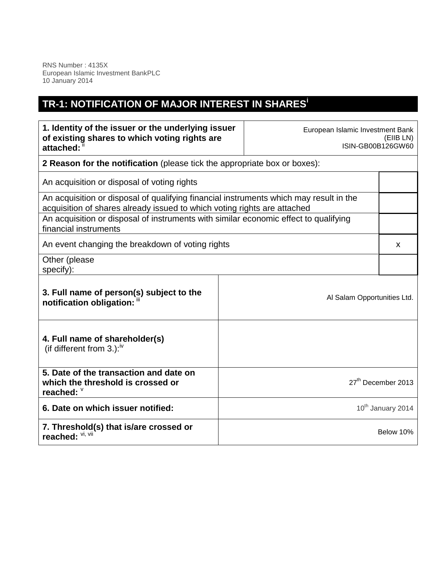RNS Number : 4135X European Islamic Investment BankPLC 10 January 2014

## **TR-1: NOTIFICATION OF MAJOR INTEREST IN SHARES<sup>i</sup>**

| 1. Identity of the issuer or the underlying issuer<br>of existing shares to which voting rights are<br>attached: ii                                                |                             | European Islamic Investment Bank<br>(EIIB LN)<br>ISIN-GB00B126GW60 |  |
|--------------------------------------------------------------------------------------------------------------------------------------------------------------------|-----------------------------|--------------------------------------------------------------------|--|
| 2 Reason for the notification (please tick the appropriate box or boxes):                                                                                          |                             |                                                                    |  |
| An acquisition or disposal of voting rights                                                                                                                        |                             |                                                                    |  |
| An acquisition or disposal of qualifying financial instruments which may result in the<br>acquisition of shares already issued to which voting rights are attached |                             |                                                                    |  |
| An acquisition or disposal of instruments with similar economic effect to qualifying<br>financial instruments                                                      |                             |                                                                    |  |
| An event changing the breakdown of voting rights                                                                                                                   |                             |                                                                    |  |
| Other (please<br>specify):                                                                                                                                         |                             |                                                                    |  |
| 3. Full name of person(s) subject to the<br>notification obligation: "                                                                                             | Al Salam Opportunities Ltd. |                                                                    |  |
| 4. Full name of shareholder(s)<br>(if different from 3.): $iv$                                                                                                     |                             |                                                                    |  |
| 5. Date of the transaction and date on<br>which the threshold is crossed or<br>reached: V                                                                          |                             | 27 <sup>th</sup> December 2013                                     |  |
| 6. Date on which issuer notified:                                                                                                                                  |                             | 10 <sup>th</sup> January 2014                                      |  |
| 7. Threshold(s) that is/are crossed or<br>reached: Vi, Vii                                                                                                         |                             | Below 10%                                                          |  |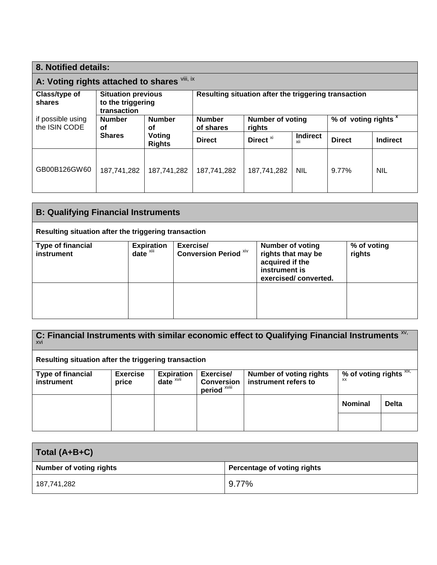| 8. Notified details:                                                                     |                     |                                                      |                            |                                                           |                        |               |                 |
|------------------------------------------------------------------------------------------|---------------------|------------------------------------------------------|----------------------------|-----------------------------------------------------------|------------------------|---------------|-----------------|
| viii, ix<br>A: Voting rights attached to shares                                          |                     |                                                      |                            |                                                           |                        |               |                 |
| Class/type of<br><b>Situation previous</b><br>to the triggering<br>shares<br>transaction |                     | Resulting situation after the triggering transaction |                            |                                                           |                        |               |                 |
| if possible using<br>the ISIN CODE                                                       | <b>Number</b><br>Οf | <b>Number</b><br>οf                                  | <b>Number</b><br>of shares | % of voting rights x<br><b>Number of voting</b><br>rights |                        |               |                 |
|                                                                                          | <b>Shares</b>       | Voting<br><b>Rights</b>                              | <b>Direct</b>              | Direct <sup>xi</sup>                                      | <b>Indirect</b><br>XII | <b>Direct</b> | <b>Indirect</b> |
| GB00B126GW60                                                                             | 187,741,282         | 187,741,282                                          | 187,741,282                | 187,741,282                                               | <b>NIL</b>             | $9.77\%$      | <b>NIL</b>      |

| <b>B: Qualifying Financial Instruments</b>           |                               |                                           |                                                                                                           |                       |
|------------------------------------------------------|-------------------------------|-------------------------------------------|-----------------------------------------------------------------------------------------------------------|-----------------------|
| Resulting situation after the triggering transaction |                               |                                           |                                                                                                           |                       |
| <b>Type of financial</b><br>instrument               | <b>Expiration</b><br>$date^x$ | Exercise/<br><b>Conversion Period XIV</b> | <b>Number of voting</b><br>rights that may be<br>acquired if the<br>instrument is<br>exercised/converted. | % of voting<br>rights |
|                                                      |                               |                                           |                                                                                                           |                       |

| C: Financial Instruments with similar economic effect to Qualifying Financial Instruments XV,<br>xvi |                          |                                                |                                                           |                                                        |                                        |              |
|------------------------------------------------------------------------------------------------------|--------------------------|------------------------------------------------|-----------------------------------------------------------|--------------------------------------------------------|----------------------------------------|--------------|
| Resulting situation after the triggering transaction                                                 |                          |                                                |                                                           |                                                        |                                        |              |
| <b>Type of financial</b><br>instrument                                                               | <b>Exercise</b><br>price | <b>Expiration</b><br>$date^{\times\text{vii}}$ | Exercise/<br><b>Conversion</b><br>period <sup>xviii</sup> | <b>Number of voting rights</b><br>instrument refers to | % of voting rights $\frac{X}{X}$<br>XX |              |
|                                                                                                      |                          |                                                |                                                           |                                                        | <b>Nominal</b>                         | <b>Delta</b> |
|                                                                                                      |                          |                                                |                                                           |                                                        |                                        |              |

| Total (A+B+C)                  |                             |
|--------------------------------|-----------------------------|
| <b>Number of voting rights</b> | Percentage of voting rights |
| 187,741,282                    | $9.77\%$                    |